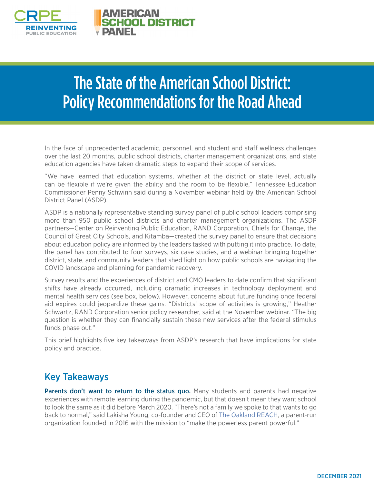

## The State of the American School District: Policy Recommendations for the Road Ahead

In the face of unprecedented academic, personnel, and student and staff wellness challenges over the last 20 months, public school districts, charter management organizations, and state education agencies have taken dramatic steps to expand their scope of services.

"We have learned that education systems, whether at the district or state level, actually can be flexible if we're given the ability and the room to be flexible," Tennessee Education Commissioner Penny Schwinn said during a November webinar held by the American School District Panel (ASDP).

ASDP is a nationally representative standing survey panel of public school leaders comprising more than 950 public school districts and charter management organizations. The ASDP partners—Center on Reinventing Public Education, RAND Corporation, Chiefs for Change, the Council of Great City Schools, and Kitamba—created the survey panel to ensure that decisions about education policy are informed by the leaders tasked with putting it into practice. To date, the panel has contributed to four surveys, six case studies, and a webinar bringing together district, state, and community leaders that shed light on how public schools are navigating the COVID landscape and planning for pandemic recovery.

Survey results and the experiences of district and CMO leaders to date confirm that significant shifts have already occurred, including dramatic increases in technology deployment and mental health services (see box, below). However, concerns about future funding once federal aid expires could jeopardize these gains. "Districts' scope of activities is growing," Heather Schwartz, RAND Corporation senior policy researcher, said at the November webinar. "The big question is whether they can financially sustain these new services after the federal stimulus funds phase out."

This brief highlights five key takeaways from ASDP's research that have implications for state policy and practice.

## Key Takeaways

**Parents don't want to return to the status quo.** Many students and parents had negative experiences with remote learning during the pandemic, but that doesn't mean they want school to look the same as it did before March 2020. "There's not a family we spoke to that wants to go back to normal," said Lakisha Young, co-founder and CEO of [The Oakland REACH](https://oaklandreach.org/), a parent-run organization founded in 2016 with the mission to "make the powerless parent powerful."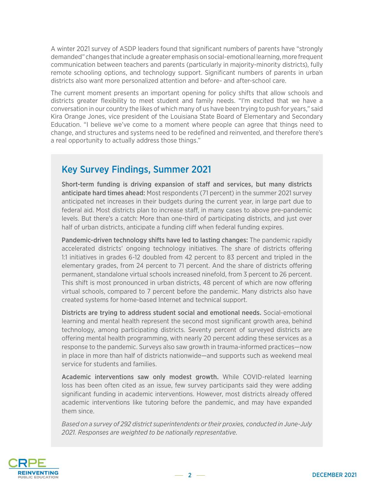A winter 2021 survey of ASDP leaders found that significant numbers of parents have "strongly demanded" changes that include a greater emphasis on social-emotional learning, more frequent communication between teachers and parents (particularly in majority-minority districts), fully remote schooling options, and technology support. Significant numbers of parents in urban districts also want more personalized attention and before- and after-school care.

The current moment presents an important opening for policy shifts that allow schools and districts greater flexibility to meet student and family needs. "I'm excited that we have a conversation in our country the likes of which many of us have been trying to push for years," said Kira Orange Jones, vice president of the Louisiana State Board of Elementary and Secondary Education. "I believe we've come to a moment where people can agree that things need to change, and structures and systems need to be redefined and reinvented, and therefore there's a real opportunity to actually address those things."

## Key Survey Findings, Summer 2021

Short-term funding is driving expansion of staff and services, but many districts anticipate hard times ahead: Most respondents (71 percent) in the summer 2021 survey anticipated net increases in their budgets during the current year, in large part due to federal aid. Most districts plan to increase staff, in many cases to above pre-pandemic levels. But there's a catch: More than one-third of participating districts, and just over half of urban districts, anticipate a funding cliff when federal funding expires.

Pandemic-driven technology shifts have led to lasting changes: The pandemic rapidly accelerated districts' ongoing technology initiatives. The share of districts offering 1:1 initiatives in grades 6-12 doubled from 42 percent to 83 percent and tripled in the elementary grades, from 24 percent to 71 percent. And the share of districts offering permanent, standalone virtual schools increased ninefold, from 3 percent to 26 percent. This shift is most pronounced in urban districts, 48 percent of which are now offering virtual schools, compared to 7 percent before the pandemic. Many districts also have created systems for home-based Internet and technical support.

Districts are trying to address student social and emotional needs. Social-emotional learning and mental health represent the second most significant growth area, behind technology, among participating districts. Seventy percent of surveyed districts are offering mental health programming, with nearly 20 percent adding these services as a response to the pandemic. Surveys also saw growth in trauma-informed practices—now in place in more than half of districts nationwide—and supports such as weekend meal service for students and families.

Academic interventions saw only modest growth. While COVID-related learning loss has been often cited as an issue, few survey participants said they were adding significant funding in academic interventions. However, most districts already offered academic interventions like tutoring before the pandemic, and may have expanded them since.

*Based on a survey of 292 district superintendents or their proxies, conducted in June-July 2021. Responses are weighted to be nationally representative.*

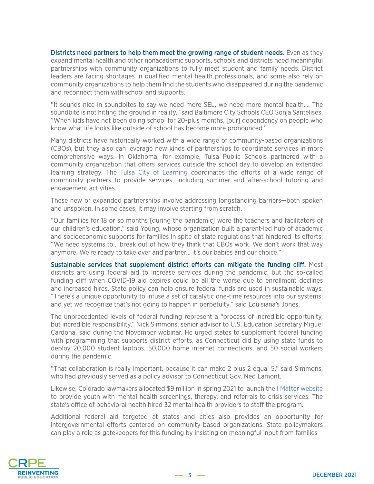Districts need partners to help them meet the growing range of student needs. Even as they expand mental health and other nonacademic supports, schools and districts need meaningful partnerships with community organizations to fully meet student and family needs. District leaders are facing shortages in qualified mental health professionals, and some also rely on community organizations to help them find the students who disappeared during the pandemic and reconnect them with school and supports.

"It sounds nice in soundbites to say we need more SEL, we need more mental health…. The soundbite is not hitting the ground in reality," said Baltimore City Schools CEO Sonja Santelises. "When kids have not been doing school for 20-plus months, [our] dependency on people who know what life looks like outside of school has become more pronounced."

Many districts have historically worked with a wide range of community-based organizations (CBOs), but they also can leverage new kinds of partnerships to coordinate services in more comprehensive ways. In Oklahoma, for example, Tulsa Public Schools partnered with a community organization that offers services outside the school day to develop an extended learning strategy. The [Tulsa City of Learning](https://www.tulsacityoflearning.org/) coordinates the efforts of a wide range of community partners to provide services, including summer and after-school tutoring and engagement activities.

These new or expanded partnerships involve addressing longstanding barriers—both spoken and unspoken. In some cases, it may involve starting from scratch.

"Our families for 18 or so months [during the pandemic] were the teachers and facilitators of our children's education," said Young, whose organization built a parent-led hub of academic and socioeconomic supports for families in spite of state regulations that hindered its efforts. "We need systems to… break out of how they think that CBOs work. We don't work that way anymore. We're ready to take over and partner… it's our babies and our choice."

Sustainable services that supplement district efforts can mitigate the funding cliff. Most districts are using federal aid to increase services during the pandemic, but the so-called funding cliff when COVID-19 aid expires could be all the worse due to enrollment declines and increased hires. State policy can help ensure federal funds are used in sustainable ways: "There's a unique opportunity to infuse a set of catalytic one-time resources into our systems, and yet we recognize that's not going to happen in perpetuity," said Louisiana's Jones.

The unprecedented levels of federal funding represent a "process of incredible opportunity, but incredible responsibility," Nick Simmons, senior advisor to U.S. Education Secretary Miguel Cardona, said during the November webinar. He urged states to supplement federal funding with programming that supports district efforts, as Connecticut did by using state funds to deploy 20,000 student laptops, 50,000 home internet connections, and 50 social workers during the pandemic.

"That collaboration is really important, because it can make 2 plus 2 equal 5," said Simmons, who had previously served as a policy advisor to Connecticut Gov. Ned Lamont.

Likewise, Colorado lawmakers allocated \$9 million in spring 2021 to launch the [I Matter website](https://imattercolorado.org/) to provide youth with mental health screenings, therapy, and referrals to crisis services. The state's office of behavioral health hired 32 mental health providers to staff the program.

Additional federal aid targeted at states and cities also provides an opportunity for intergovernmental efforts centered on community-based organizations. State policymakers can play a role as gatekeepers for this funding by insisting on meaningful input from families—